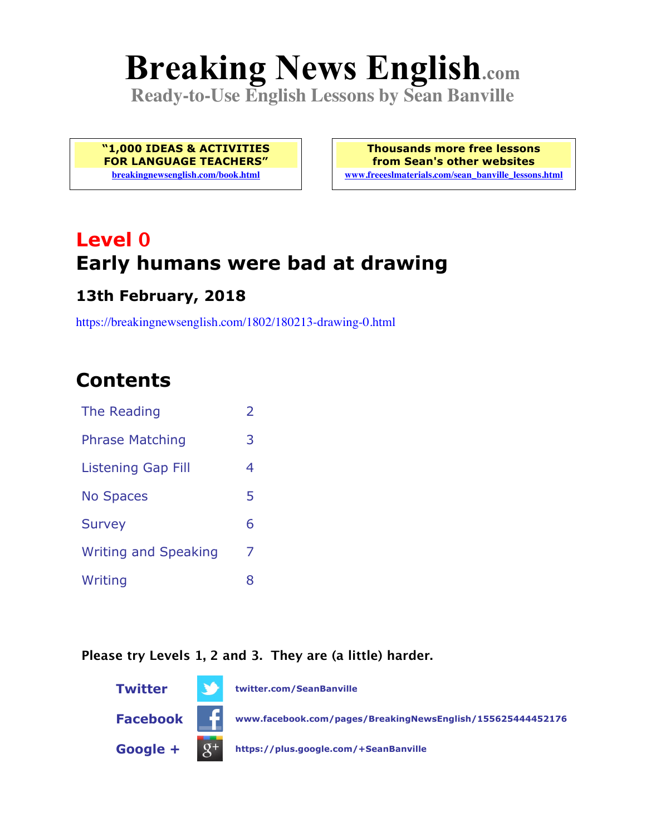# **Breaking News English.com**

**Ready-to-Use English Lessons by Sean Banville**

**"1,000 IDEAS & ACTIVITIES FOR LANGUAGE TEACHERS" breakingnewsenglish.com/book.html**

**Thousands more free lessons from Sean's other websites www.freeeslmaterials.com/sean\_banville\_lessons.html**

# **Level 0 Early humans were bad at drawing**

#### **13th February, 2018**

https://breakingnewsenglish.com/1802/180213-drawing-0.html

# **Contents**

| The Reading                 | $\mathcal{P}$ |
|-----------------------------|---------------|
| <b>Phrase Matching</b>      | З             |
| Listening Gap Fill          | 4             |
| <b>No Spaces</b>            | 5             |
| <b>Survey</b>               | 6             |
| <b>Writing and Speaking</b> | 7             |
| Writing                     | 8             |

#### **Please try Levels 1, 2 and 3. They are (a little) harder.**

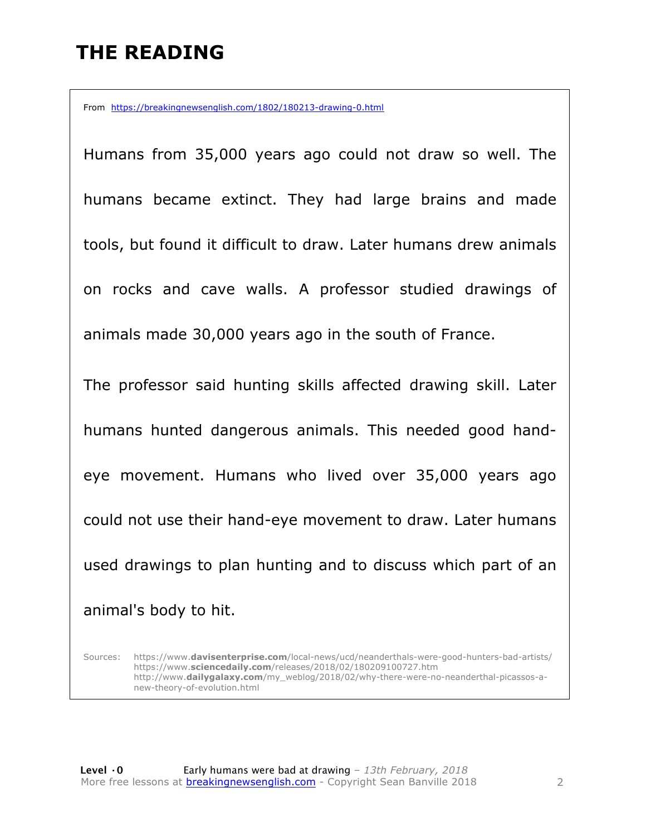# **THE READING**

From https://breakingnewsenglish.com/1802/180213-drawing-0.html

Humans from 35,000 years ago could not draw so well. The humans became extinct. They had large brains and made tools, but found it difficult to draw. Later humans drew animals on rocks and cave walls. A professor studied drawings of animals made 30,000 years ago in the south of France.

The professor said hunting skills affected drawing skill. Later humans hunted dangerous animals. This needed good handeye movement. Humans who lived over 35,000 years ago could not use their hand-eye movement to draw. Later humans used drawings to plan hunting and to discuss which part of an animal's body to hit.

Sources: https://www.**davisenterprise.com**/local-news/ucd/neanderthals-were-good-hunters-bad-artists/ https://www.**sciencedaily.com**/releases/2018/02/180209100727.htm http://www.**dailygalaxy.com**/my\_weblog/2018/02/why-there-were-no-neanderthal-picassos-anew-theory-of-evolution.html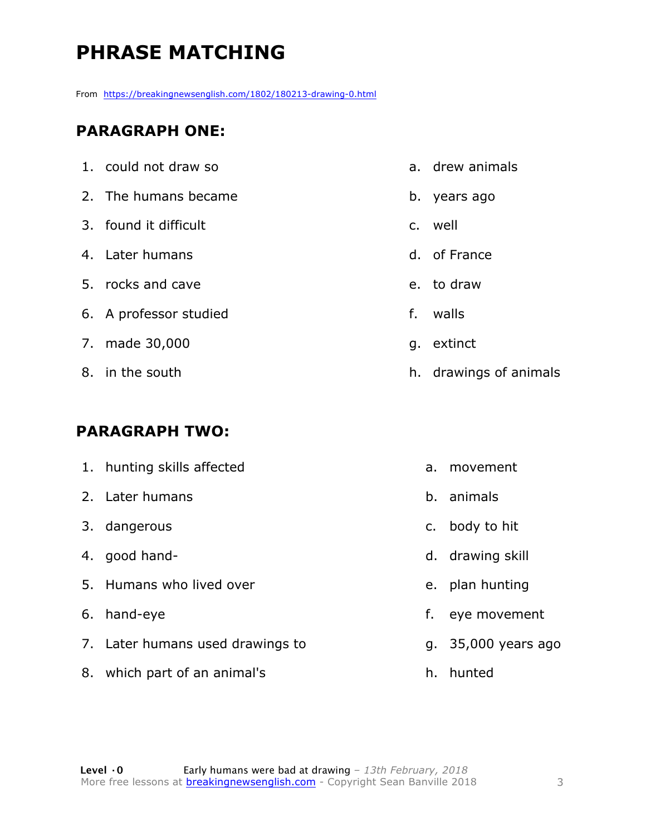# **PHRASE MATCHING**

From https://breakingnewsenglish.com/1802/180213-drawing-0.html

#### **PARAGRAPH ONE:**

| 1. could not draw so   |              | a. drew animals        |
|------------------------|--------------|------------------------|
| 2. The humans became   |              | b. years ago           |
| 3. found it difficult  |              | c. well                |
| 4. Later humans        |              | d. of France           |
| 5. rocks and cave      |              | e. to draw             |
| 6. A professor studied | $f_{\rm{r}}$ | walls                  |
| 7. made 30,000         | g.           | extinct                |
| 8. in the south        |              | h. drawings of animals |
|                        |              |                        |

#### **PARAGRAPH TWO:**

| 1. hunting skills affected       | a. | movement            |
|----------------------------------|----|---------------------|
| 2. Later humans                  |    | b. animals          |
| 3. dangerous                     |    | c. body to hit      |
| 4. good hand-                    |    | d. drawing skill    |
| 5. Humans who lived over         |    | e. plan hunting     |
| 6. hand-eye                      | f. | eye movement        |
| 7. Later humans used drawings to |    | g. 35,000 years ago |
| 8. which part of an animal's     |    | h. hunted           |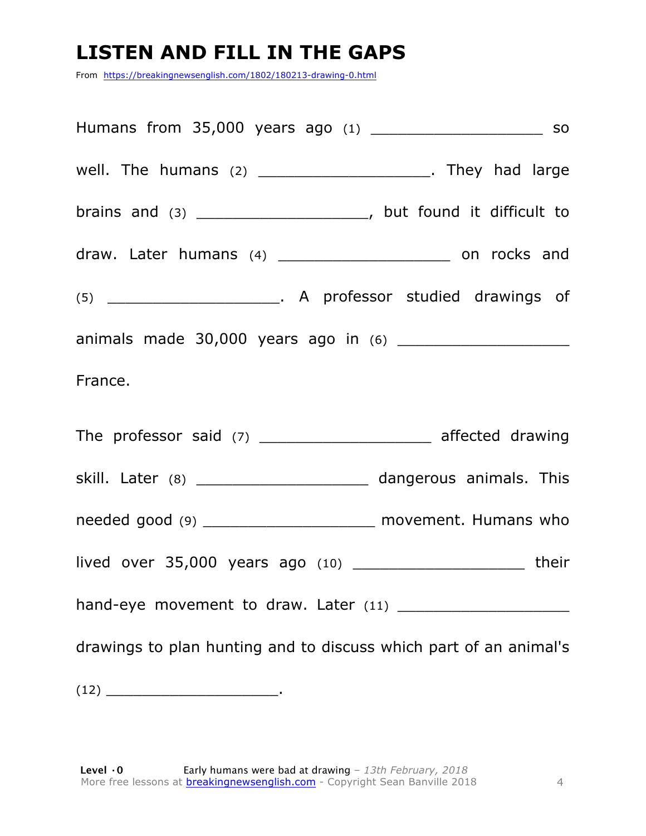### **LISTEN AND FILL IN THE GAPS**

From https://breakingnewsenglish.com/1802/180213-drawing-0.html

| well. The humans $(2)$ __________________________. They had large      |
|------------------------------------------------------------------------|
| brains and $(3)$ __________________________, but found it difficult to |
| draw. Later humans (4) _________________________ on rocks and          |
|                                                                        |
|                                                                        |
| France.                                                                |
| The professor said (7) _______________________ affected drawing        |
| skill. Later (8) ______________________ dangerous animals. This        |
| needed good (9) __________________________ movement. Humans who        |
|                                                                        |
|                                                                        |
| drawings to plan hunting and to discuss which part of an animal's      |
| $(12)$ $\qquad$                                                        |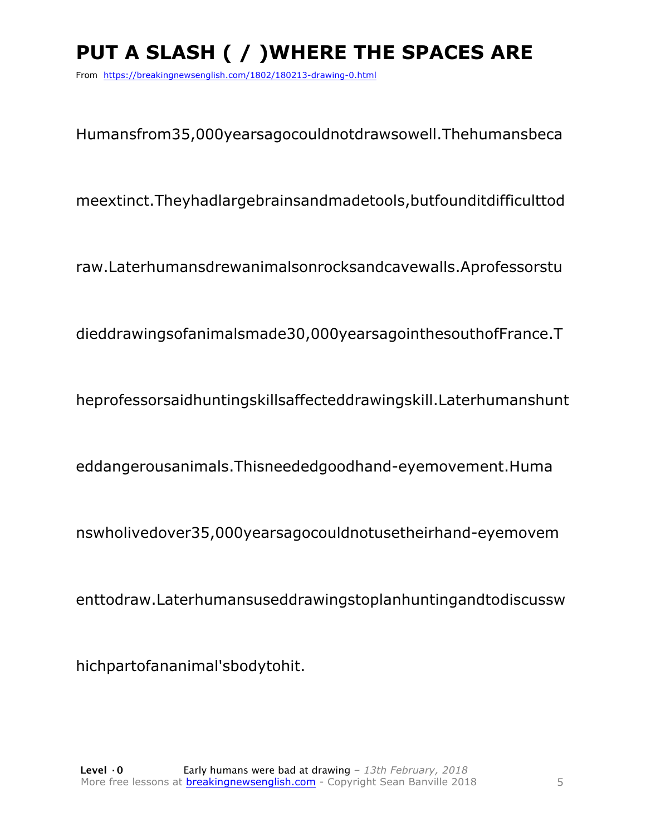# **PUT A SLASH ( / )WHERE THE SPACES ARE**

From https://breakingnewsenglish.com/1802/180213-drawing-0.html

Humansfrom35,000yearsagocouldnotdrawsowell.Thehumansbeca

meextinct.Theyhadlargebrainsandmadetools,butfounditdifficulttod

raw.Laterhumansdrewanimalsonrocksandcavewalls.Aprofessorstu

dieddrawingsofanimalsmade30,000yearsagointhesouthofFrance.T

heprofessorsaidhuntingskillsaffecteddrawingskill.Laterhumanshunt

eddangerousanimals.Thisneededgoodhand-eyemovement.Huma

nswholivedover35,000yearsagocouldnotusetheirhand-eyemovem

enttodraw.Laterhumansuseddrawingstoplanhuntingandtodiscussw

hichpartofananimal'sbodytohit.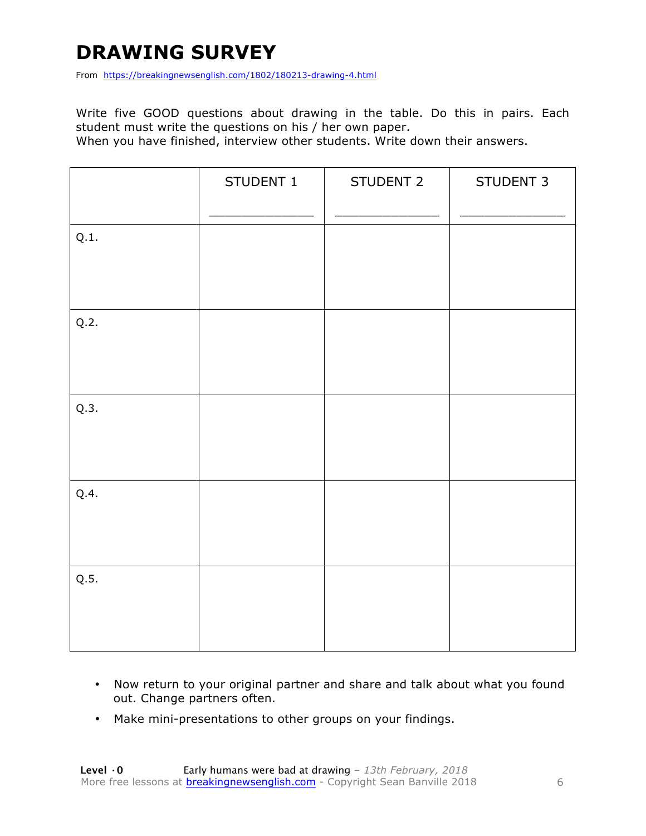### **DRAWING SURVEY**

From https://breakingnewsenglish.com/1802/180213-drawing-4.html

Write five GOOD questions about drawing in the table. Do this in pairs. Each student must write the questions on his / her own paper.

When you have finished, interview other students. Write down their answers.

|      | STUDENT 1 | STUDENT 2 | STUDENT 3 |
|------|-----------|-----------|-----------|
| Q.1. |           |           |           |
| Q.2. |           |           |           |
| Q.3. |           |           |           |
| Q.4. |           |           |           |
| Q.5. |           |           |           |

- Now return to your original partner and share and talk about what you found out. Change partners often.
- Make mini-presentations to other groups on your findings.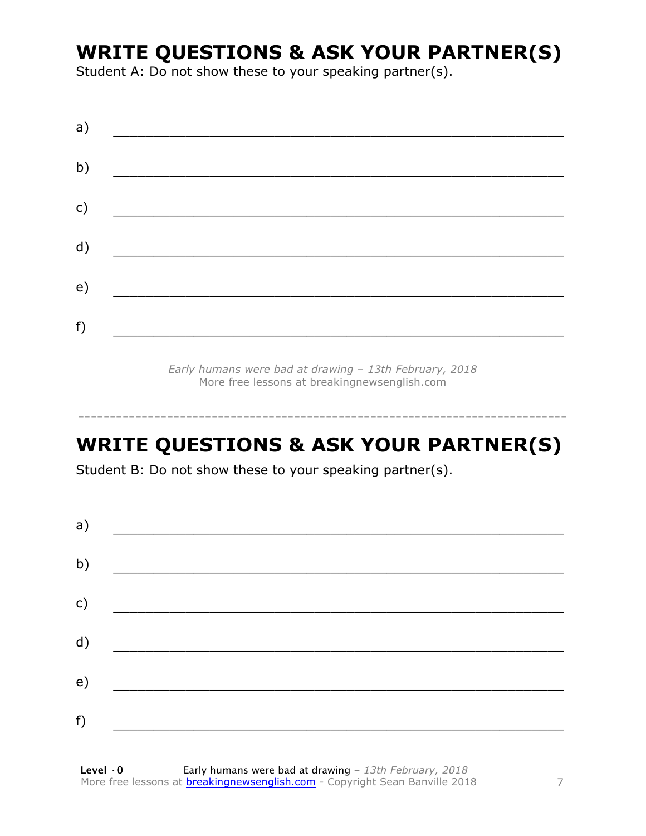### **WRITE QUESTIONS & ASK YOUR PARTNER(S)**

Student A: Do not show these to your speaking partner(s).

| a) |  |  |
|----|--|--|
| b) |  |  |
| c) |  |  |
| d) |  |  |
| e) |  |  |
| f) |  |  |
|    |  |  |

*Early humans were bad at drawing – 13th February, 2018* More free lessons at breakingnewsenglish.com

# **WRITE QUESTIONS & ASK YOUR PARTNER(S)**

-----------------------------------------------------------------------------

Student B: Do not show these to your speaking partner(s).

| a) |  |  |
|----|--|--|
| b) |  |  |
| c) |  |  |
| d) |  |  |
| e) |  |  |
| f) |  |  |
|    |  |  |